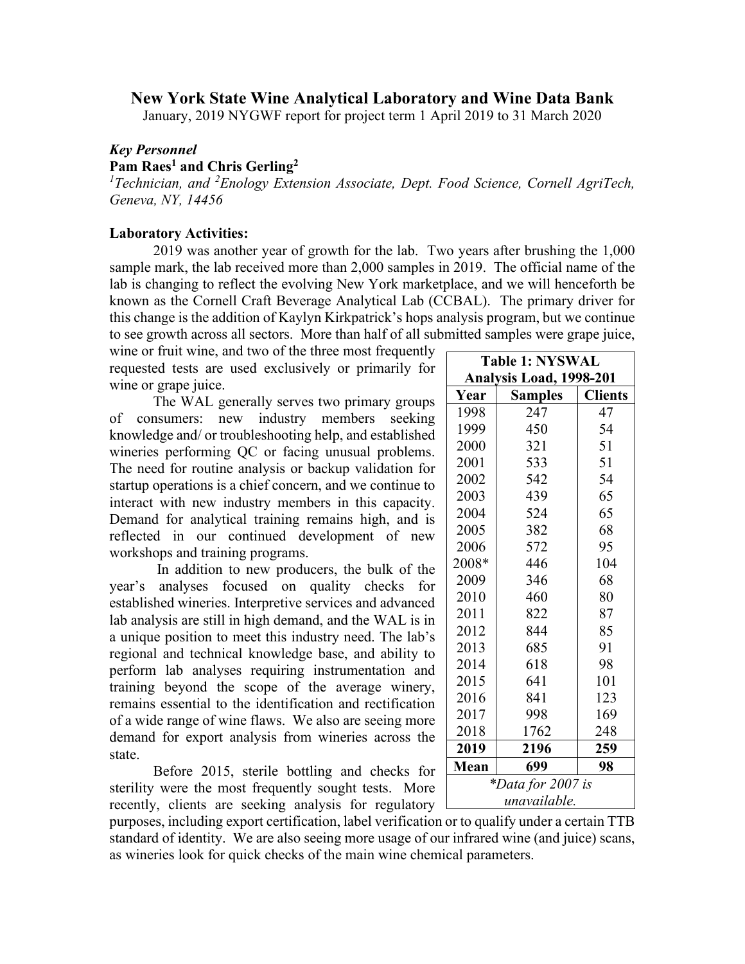## **New York State Wine Analytical Laboratory and Wine Data Bank**

January, 2019 NYGWF report for project term 1 April 2019 to 31 March 2020

## *Key Personnel*

## **Pam Raes1 and Chris Gerling2**

<sup>1</sup> Technician, and <sup>2</sup> Enology Extension Associate, Dept. Food Science, Cornell AgriTech, *Geneva, NY, 14456*

## **Laboratory Activities:**

2019 was another year of growth for the lab. Two years after brushing the 1,000 sample mark, the lab received more than 2,000 samples in 2019. The official name of the lab is changing to reflect the evolving New York marketplace, and we will henceforth be known as the Cornell Craft Beverage Analytical Lab (CCBAL). The primary driver for this change is the addition of Kaylyn Kirkpatrick's hops analysis program, but we continue to see growth across all sectors. More than half of all submitted samples were grape juice,

wine or fruit wine, and two of the three most frequently  $\vdash$ requested tests are used exclusively or primarily for wine or grape juice.

The WAL generally serves two primary groups of consumers: new industry members seeking knowledge and/ or troubleshooting help, and established wineries performing QC or facing unusual problems. The need for routine analysis or backup validation for startup operations is a chief concern, and we continue to interact with new industry members in this capacity. Demand for analytical training remains high, and is reflected in our continued development of new workshops and training programs.

In addition to new producers, the bulk of the year's analyses focused on quality checks for established wineries. Interpretive services and advanced lab analysis are still in high demand, and the WAL is in a unique position to meet this industry need. The lab's regional and technical knowledge base, and ability to perform lab analyses requiring instrumentation and training beyond the scope of the average winery, remains essential to the identification and rectification of a wide range of wine flaws. We also are seeing more demand for export analysis from wineries across the state.

Before 2015, sterile bottling and checks for sterility were the most frequently sought tests. More recently, clients are seeking analysis for regulatory

| <b>Table 1: NYSWAL</b>  |                |                |
|-------------------------|----------------|----------------|
| Analysis Load, 1998-201 |                |                |
| Year                    | <b>Samples</b> | <b>Clients</b> |
| 1998                    | 247            | 47             |
| 1999                    | 450            | 54             |
| 2000                    | 321            | 51             |
| 2001                    | 533            | 51             |
| 2002                    | 542            | 54             |
| 2003                    | 439            | 65             |
| 2004                    | 524            | 65             |
| 2005                    | 382            | 68             |
| 2006                    | 572            | 95             |
| 2008*                   | 446            | 104            |
| 2009                    | 346            | 68             |
| 2010                    | 460            | 80             |
| 2011                    | 822            | 87             |
| 2012                    | 844            | 85             |
| 2013                    | 685            | 91             |
| 2014                    | 618            | 98             |
| 2015                    | 641            | 101            |
| 2016                    | 841            | 123            |
| 2017                    | 998            | 169            |
| 2018                    | 1762           | 248            |
| 2019                    | 2196           | 259            |
| Mean                    | 699            | 98             |
| *Data for 2007 is       |                |                |
| unavailable.            |                |                |

purposes, including export certification, label verification or to qualify under a certain TTB standard of identity. We are also seeing more usage of our infrared wine (and juice) scans, as wineries look for quick checks of the main wine chemical parameters.